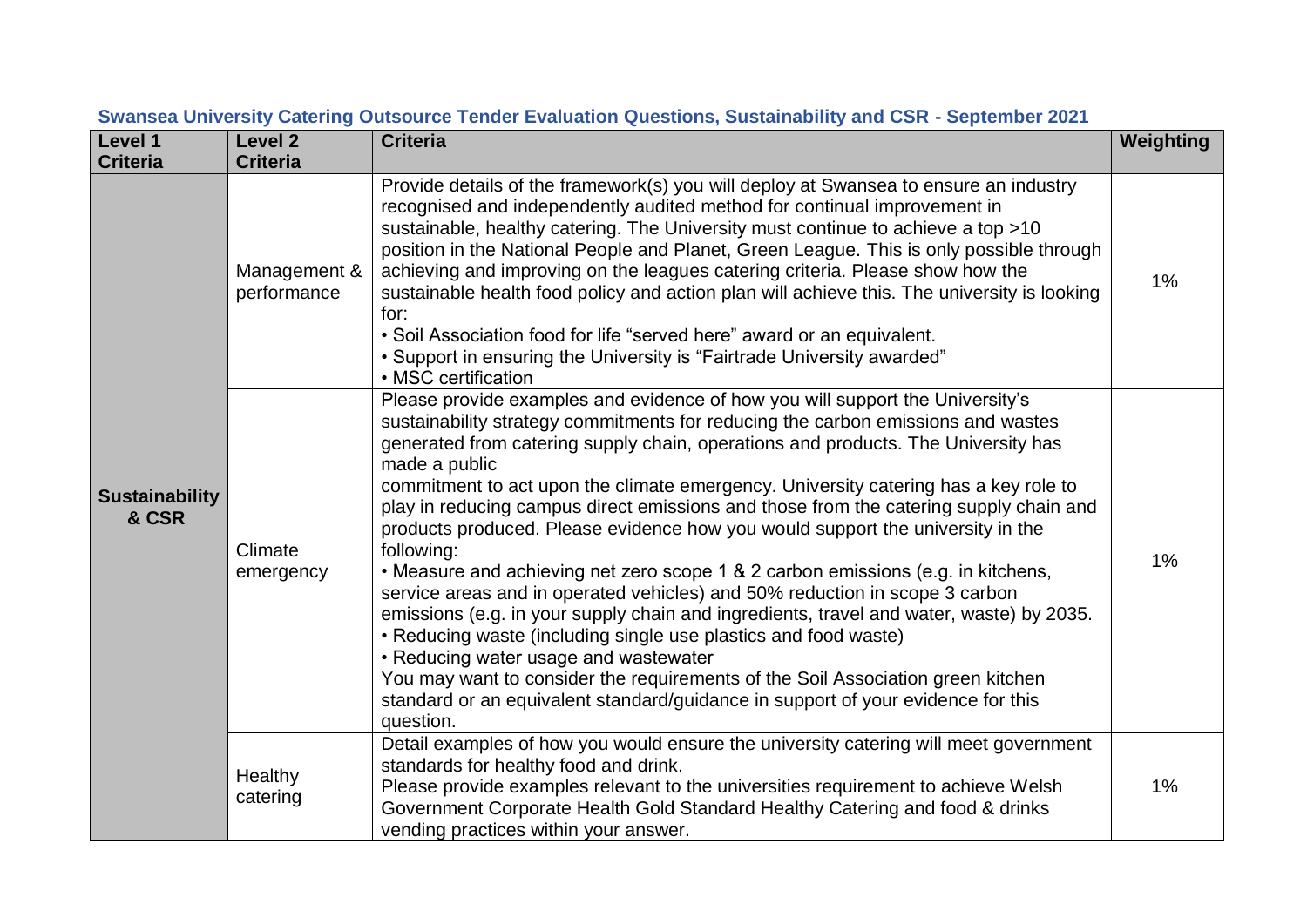| Level 1                        | <b>Level 2</b>              | <b>Criteria</b>                                                                                                                                                                                                                                                                                                                                                                                                                                                                                                                                                                                                                                                                                                                                                                                                                                                                                                                                                                                                                                                                                                       | Weighting |
|--------------------------------|-----------------------------|-----------------------------------------------------------------------------------------------------------------------------------------------------------------------------------------------------------------------------------------------------------------------------------------------------------------------------------------------------------------------------------------------------------------------------------------------------------------------------------------------------------------------------------------------------------------------------------------------------------------------------------------------------------------------------------------------------------------------------------------------------------------------------------------------------------------------------------------------------------------------------------------------------------------------------------------------------------------------------------------------------------------------------------------------------------------------------------------------------------------------|-----------|
| <b>Criteria</b>                | <b>Criteria</b>             |                                                                                                                                                                                                                                                                                                                                                                                                                                                                                                                                                                                                                                                                                                                                                                                                                                                                                                                                                                                                                                                                                                                       |           |
| <b>Sustainability</b><br>& CSR | Management &<br>performance | Provide details of the framework(s) you will deploy at Swansea to ensure an industry<br>recognised and independently audited method for continual improvement in<br>sustainable, healthy catering. The University must continue to achieve a top >10<br>position in the National People and Planet, Green League. This is only possible through<br>achieving and improving on the leagues catering criteria. Please show how the<br>sustainable health food policy and action plan will achieve this. The university is looking<br>for:<br>• Soil Association food for life "served here" award or an equivalent.<br>• Support in ensuring the University is "Fairtrade University awarded"<br>• MSC certification                                                                                                                                                                                                                                                                                                                                                                                                    | $1\%$     |
|                                | Climate<br>emergency        | Please provide examples and evidence of how you will support the University's<br>sustainability strategy commitments for reducing the carbon emissions and wastes<br>generated from catering supply chain, operations and products. The University has<br>made a public<br>commitment to act upon the climate emergency. University catering has a key role to<br>play in reducing campus direct emissions and those from the catering supply chain and<br>products produced. Please evidence how you would support the university in the<br>following:<br>• Measure and achieving net zero scope 1 & 2 carbon emissions (e.g. in kitchens,<br>service areas and in operated vehicles) and 50% reduction in scope 3 carbon<br>emissions (e.g. in your supply chain and ingredients, travel and water, waste) by 2035.<br>• Reducing waste (including single use plastics and food waste)<br>• Reducing water usage and wastewater<br>You may want to consider the requirements of the Soil Association green kitchen<br>standard or an equivalent standard/guidance in support of your evidence for this<br>question. | 1%        |
|                                | Healthy<br>catering         | Detail examples of how you would ensure the university catering will meet government<br>standards for healthy food and drink.<br>Please provide examples relevant to the universities requirement to achieve Welsh<br>Government Corporate Health Gold Standard Healthy Catering and food & drinks<br>vending practices within your answer.                                                                                                                                                                                                                                                                                                                                                                                                                                                                                                                                                                                                                                                                                                                                                                           | 1%        |

## **Swansea University Catering Outsource Tender Evaluation Questions, Sustainability and CSR - September 2021**